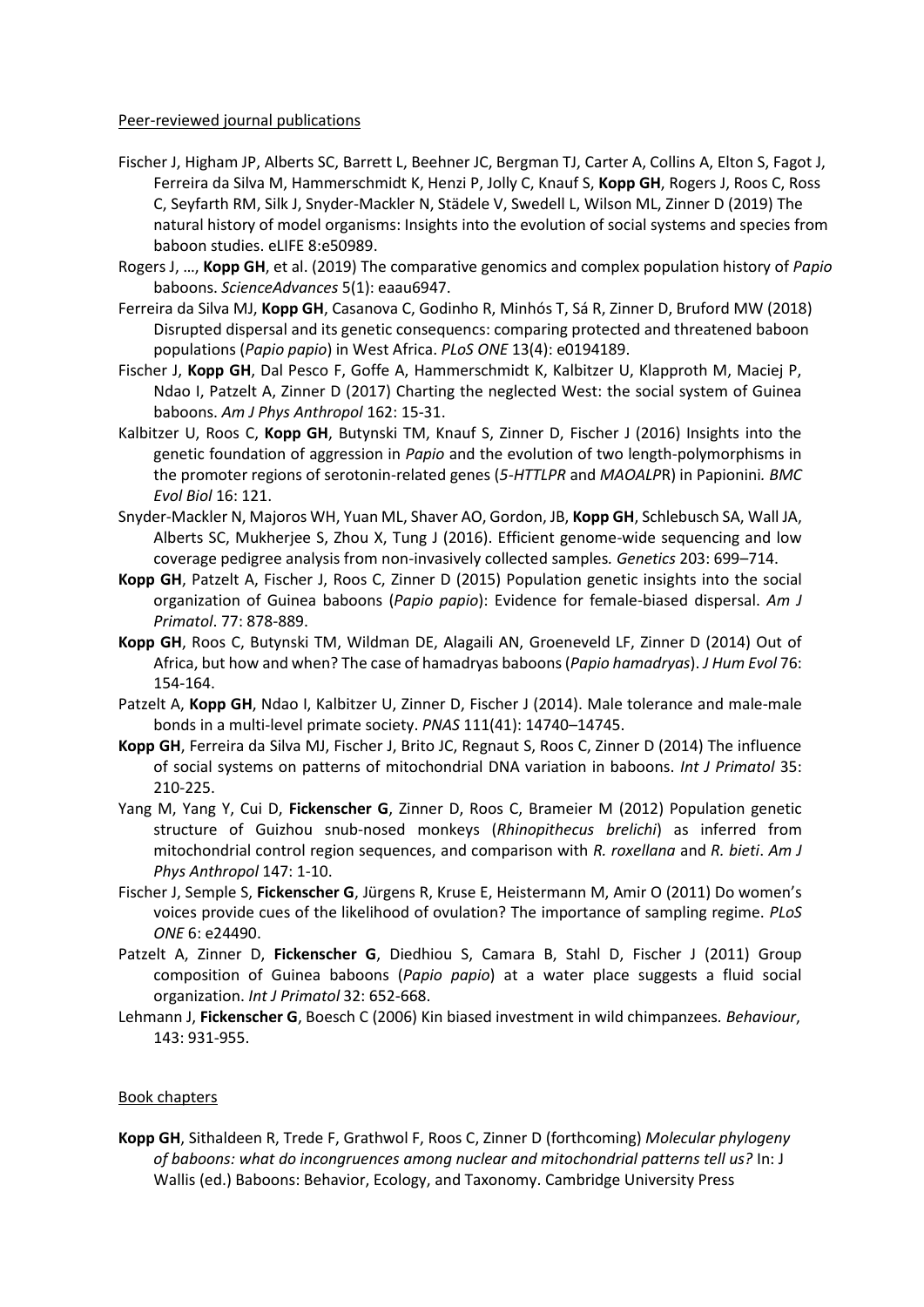## Peer-reviewed journal publications

- Fischer J, Higham JP, Alberts SC, Barrett L, Beehner JC, Bergman TJ, Carter A, Collins A, Elton S, Fagot J, Ferreira da Silva M, Hammerschmidt K, Henzi P, Jolly C, Knauf S, **Kopp GH**, Rogers J, Roos C, Ross C, Seyfarth RM, Silk J, Snyder-Mackler N, Städele V, Swedell L, Wilson ML, Zinner D (2019) The natural history of model organisms: Insights into the evolution of social systems and species from baboon studies. eLIFE 8:e50989.
- Rogers J, …, **Kopp GH**, et al. (2019) The comparative genomics and complex population history of *Papio* baboons. *ScienceAdvances* 5(1): eaau6947.
- Ferreira da Silva MJ, **Kopp GH**, Casanova C, Godinho R, Minhós T, Sá R, Zinner D, Bruford MW (2018) Disrupted dispersal and its genetic consequencs: comparing protected and threatened baboon populations (*Papio papio*) in West Africa. *PLoS ONE* 13(4): e0194189.
- Fischer J, **Kopp GH**, Dal Pesco F, Goffe A, Hammerschmidt K, Kalbitzer U, Klapproth M, Maciej P, Ndao I, Patzelt A, Zinner D (2017) Charting the neglected West: the social system of Guinea baboons. *Am J Phys Anthropol* 162: 15-31.
- Kalbitzer U, Roos C, **Kopp GH**, Butynski TM, Knauf S, Zinner D, Fischer J (2016) Insights into the genetic foundation of aggression in *Papio* and the evolution of two length-polymorphisms in the promoter regions of serotonin-related genes (*5-HTTLPR* and *MAOALP*R) in Papionini*. BMC Evol Biol* 16: 121.
- Snyder-Mackler N, Majoros WH, Yuan ML, Shaver AO, Gordon, JB, **Kopp GH**, Schlebusch SA, Wall JA, Alberts SC, Mukherjee S, Zhou X, Tung J (2016). Efficient genome-wide sequencing and low coverage pedigree analysis from non-invasively collected samples*. Genetics* 203: 699–714.
- **Kopp GH**, Patzelt A, Fischer J, Roos C, Zinner D (2015) Population genetic insights into the social organization of Guinea baboons (*Papio papio*): Evidence for female-biased dispersal. *Am J Primatol*. 77: 878-889.
- **Kopp GH**, Roos C, Butynski TM, Wildman DE, Alagaili AN, Groeneveld LF, Zinner D (2014) Out of Africa, but how and when? The case of hamadryas baboons (*Papio hamadryas*). *J Hum Evol* 76: 154-164.
- Patzelt A, **Kopp GH**, Ndao I, Kalbitzer U, Zinner D, Fischer J (2014). Male tolerance and male-male bonds in a multi-level primate society. *PNAS* 111(41): 14740–14745.
- **Kopp GH**, Ferreira da Silva MJ, Fischer J, Brito JC, Regnaut S, Roos C, Zinner D (2014) The influence of social systems on patterns of mitochondrial DNA variation in baboons. *Int J Primatol* 35: 210-225.
- Yang M, Yang Y, Cui D, **Fickenscher G**, Zinner D, Roos C, Brameier M (2012) Population genetic structure of Guizhou snub-nosed monkeys (*Rhinopithecus brelichi*) as inferred from mitochondrial control region sequences, and comparison with *R. roxellana* and *R. bieti*. *Am J Phys Anthropol* 147: 1-10.
- Fischer J, Semple S, **Fickenscher G**, Jürgens R, Kruse E, Heistermann M, Amir O (2011) Do women's voices provide cues of the likelihood of ovulation? The importance of sampling regime. *PLoS ONE* 6: e24490.
- Patzelt A, Zinner D, **Fickenscher G**, Diedhiou S, Camara B, Stahl D, Fischer J (2011) Group composition of Guinea baboons (*Papio papio*) at a water place suggests a fluid social organization. *Int J Primatol* 32: 652-668.
- Lehmann J, **Fickenscher G**, Boesch C (2006) Kin biased investment in wild chimpanzees*. Behaviour*, 143: 931-955.

## Book chapters

**Kopp GH**, Sithaldeen R, Trede F, Grathwol F, Roos C, Zinner D (forthcoming) *Molecular phylogeny of baboons: what do incongruences among nuclear and mitochondrial patterns tell us?* In: J Wallis (ed.) Baboons: Behavior, Ecology, and Taxonomy. Cambridge University Press